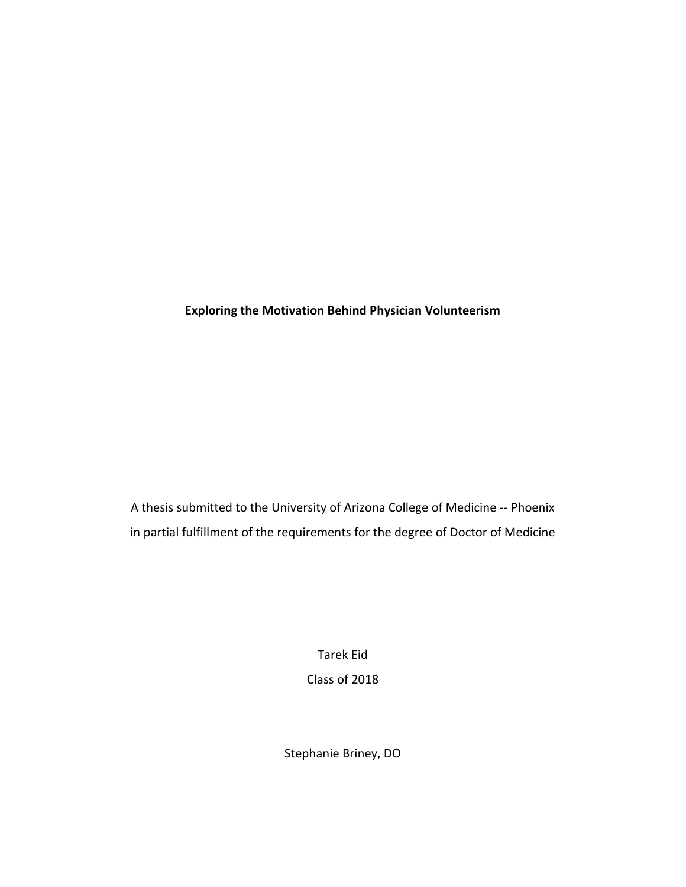**Exploring the Motivation Behind Physician Volunteerism**

A thesis submitted to the University of Arizona College of Medicine -- Phoenix in partial fulfillment of the requirements for the degree of Doctor of Medicine

> Tarek Eid Class of 2018

Stephanie Briney, DO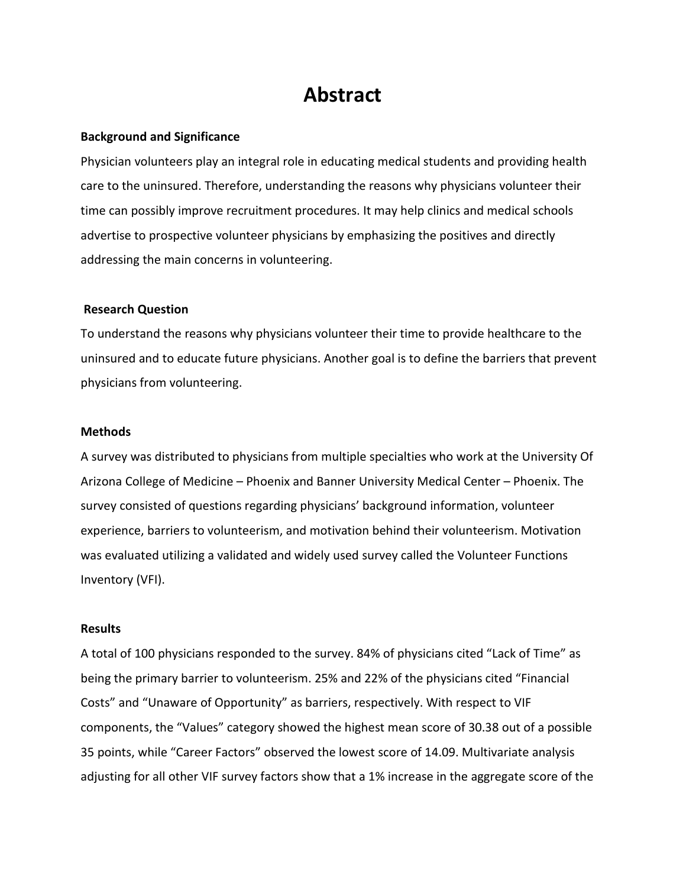### **Abstract**

#### **Background and Significance**

Physician volunteers play an integral role in educating medical students and providing health care to the uninsured. Therefore, understanding the reasons why physicians volunteer their time can possibly improve recruitment procedures. It may help clinics and medical schools advertise to prospective volunteer physicians by emphasizing the positives and directly addressing the main concerns in volunteering.

#### **Research Question**

To understand the reasons why physicians volunteer their time to provide healthcare to the uninsured and to educate future physicians. Another goal is to define the barriers that prevent physicians from volunteering.

#### **Methods**

A survey was distributed to physicians from multiple specialties who work at the University Of Arizona College of Medicine – Phoenix and Banner University Medical Center – Phoenix. The survey consisted of questions regarding physicians' background information, volunteer experience, barriers to volunteerism, and motivation behind their volunteerism. Motivation was evaluated utilizing a validated and widely used survey called the Volunteer Functions Inventory (VFI).

#### **Results**

A total of 100 physicians responded to the survey. 84% of physicians cited "Lack of Time" as being the primary barrier to volunteerism. 25% and 22% of the physicians cited "Financial Costs" and "Unaware of Opportunity" as barriers, respectively. With respect to VIF components, the "Values" category showed the highest mean score of 30.38 out of a possible 35 points, while "Career Factors" observed the lowest score of 14.09. Multivariate analysis adjusting for all other VIF survey factors show that a 1% increase in the aggregate score of the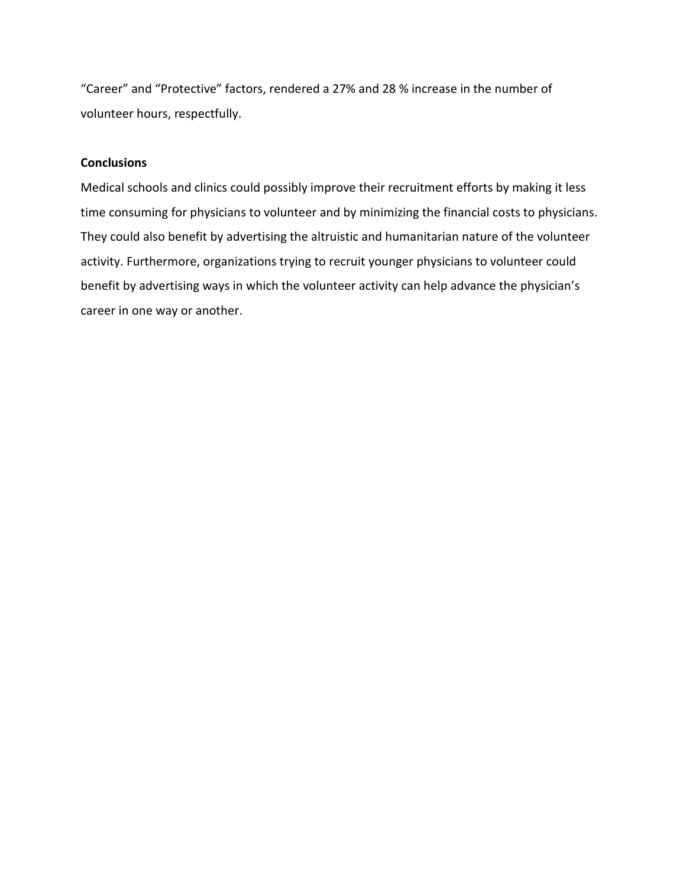"Career" and "Protective" factors, rendered a 27% and 28 % increase in the number of volunteer hours, respectfully.

#### **Conclusions**

Medical schools and clinics could possibly improve their recruitment efforts by making it less time consuming for physicians to volunteer and by minimizing the financial costs to physicians. They could also benefit by advertising the altruistic and humanitarian nature of the volunteer activity. Furthermore, organizations trying to recruit younger physicians to volunteer could benefit by advertising ways in which the volunteer activity can help advance the physician's career in one way or another.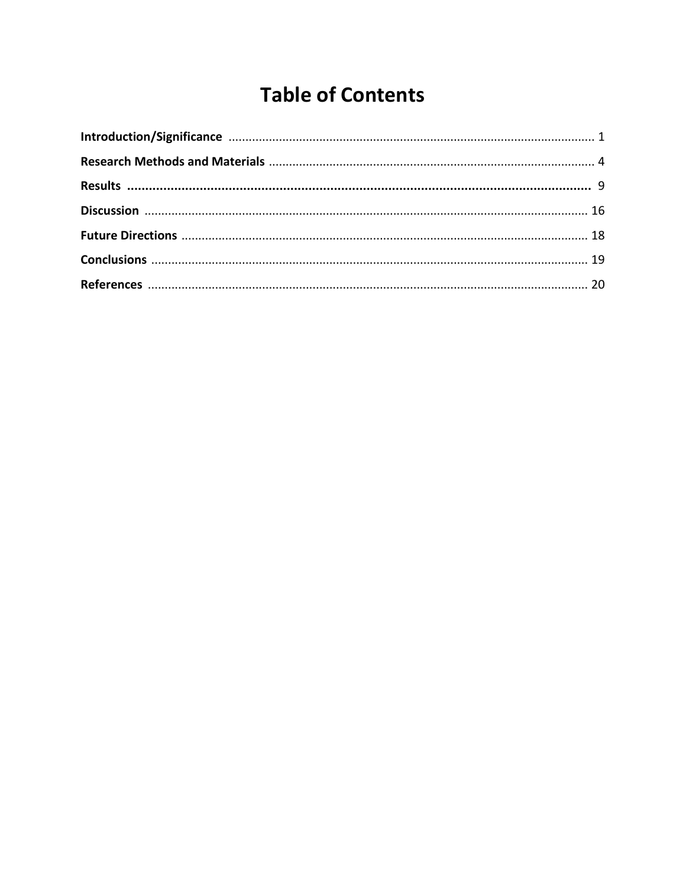# **Table of Contents**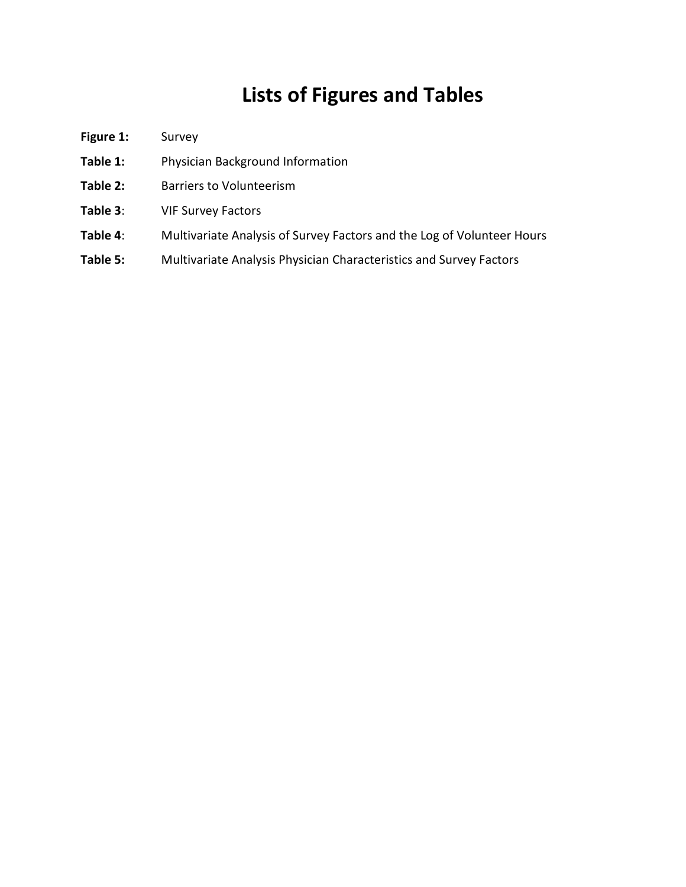## **Lists of Figures and Tables**

- Figure 1: Survey
- **Table 1:** Physician Background Information
- Table 2: Barriers to Volunteerism
- **Table 3**: VIF Survey Factors
- **Table 4**: Multivariate Analysis of Survey Factors and the Log of Volunteer Hours
- **Table 5:** Multivariate Analysis Physician Characteristics and Survey Factors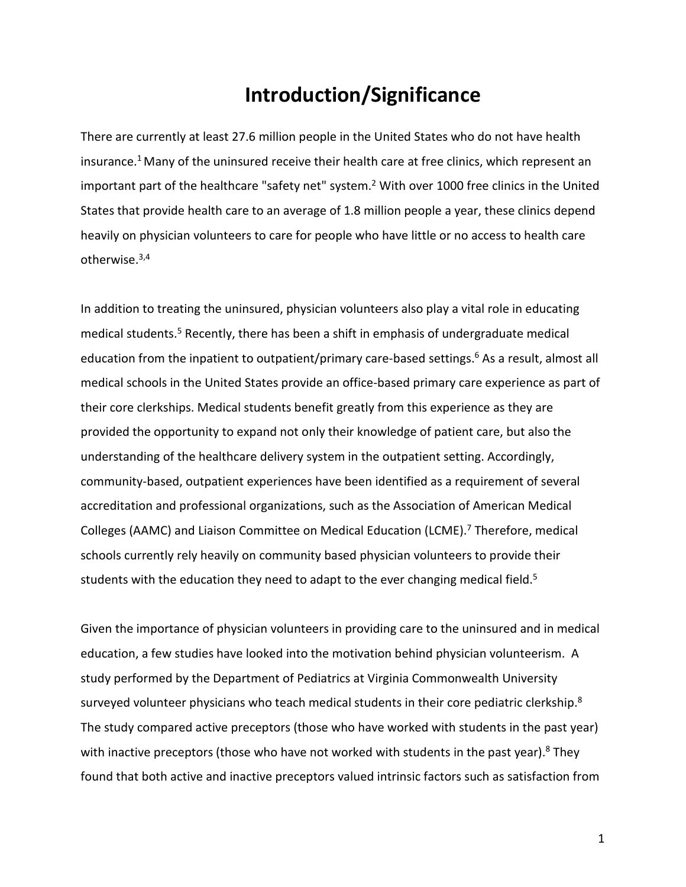## **Introduction/Significance**

There are currently at least 27.6 million people in the United States who do not have health insurance.<sup>1</sup> Many of the uninsured receive their health care at free clinics, which represent an important part of the healthcare "safety net" system.<sup>2</sup> With over 1000 free clinics in the United States that provide health care to an average of 1.8 million people a year, these clinics depend heavily on physician volunteers to care for people who have little or no access to health care otherwise.3,4

In addition to treating the uninsured, physician volunteers also play a vital role in educating medical students.<sup>5</sup> Recently, there has been a shift in emphasis of undergraduate medical education from the inpatient to outpatient/primary care-based settings.<sup>6</sup> As a result, almost all medical schools in the United States provide an office-based primary care experience as part of their core clerkships. Medical students benefit greatly from this experience as they are provided the opportunity to expand not only their knowledge of patient care, but also the understanding of the healthcare delivery system in the outpatient setting. Accordingly, community-based, outpatient experiences have been identified as a requirement of several accreditation and professional organizations, such as the Association of American Medical Colleges (AAMC) and Liaison Committee on Medical Education (LCME).<sup>7</sup> Therefore, medical schools currently rely heavily on community based physician volunteers to provide their students with the education they need to adapt to the ever changing medical field.<sup>5</sup>

Given the importance of physician volunteers in providing care to the uninsured and in medical education, a few studies have looked into the motivation behind physician volunteerism. A study performed by the Department of Pediatrics at Virginia Commonwealth University surveyed volunteer physicians who teach medical students in their core pediatric clerkship.<sup>8</sup> The study compared active preceptors (those who have worked with students in the past year) with inactive preceptors (those who have not worked with students in the past year). <sup>8</sup> They found that both active and inactive preceptors valued intrinsic factors such as satisfaction from

1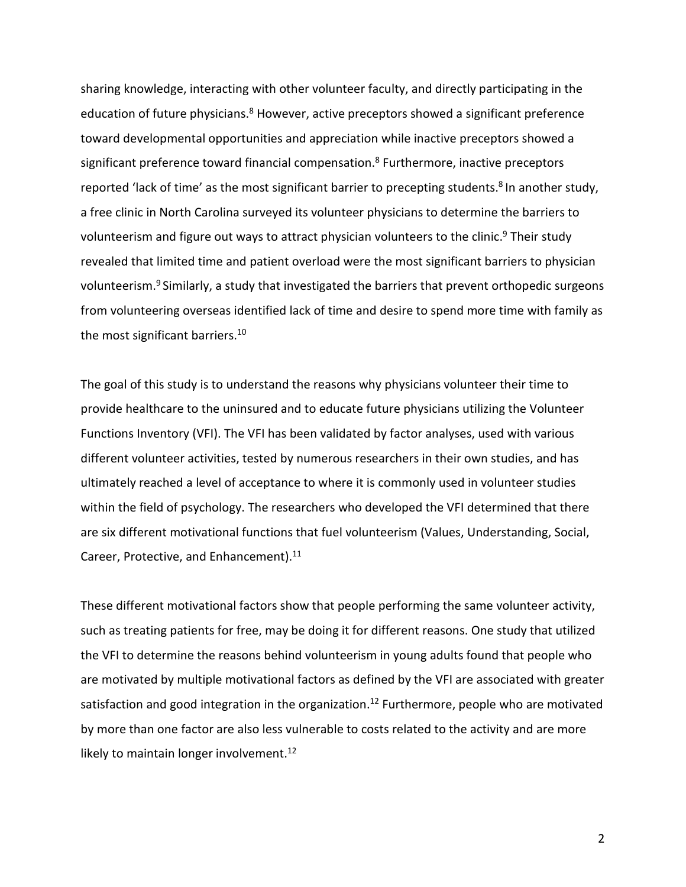sharing knowledge, interacting with other volunteer faculty, and directly participating in the education of future physicians.<sup>8</sup> However, active preceptors showed a significant preference toward developmental opportunities and appreciation while inactive preceptors showed a significant preference toward financial compensation.<sup>8</sup> Furthermore, inactive preceptors reported 'lack of time' as the most significant barrier to precepting students.<sup>8</sup> In another study, a free clinic in North Carolina surveyed its volunteer physicians to determine the barriers to volunteerism and figure out ways to attract physician volunteers to the clinic.<sup>9</sup> Their study revealed that limited time and patient overload were the most significant barriers to physician volunteerism.<sup>9</sup> Similarly, a study that investigated the barriers that prevent orthopedic surgeons from volunteering overseas identified lack of time and desire to spend more time with family as the most significant barriers.<sup>10</sup>

The goal of this study is to understand the reasons why physicians volunteer their time to provide healthcare to the uninsured and to educate future physicians utilizing the Volunteer Functions Inventory (VFI). The VFI has been validated by factor analyses, used with various different volunteer activities, tested by numerous researchers in their own studies, and has ultimately reached a level of acceptance to where it is commonly used in volunteer studies within the field of psychology. The researchers who developed the VFI determined that there are six different motivational functions that fuel volunteerism (Values, Understanding, Social, Career, Protective, and Enhancement).<sup>11</sup>

These different motivational factors show that people performing the same volunteer activity, such as treating patients for free, may be doing it for different reasons. One study that utilized the VFI to determine the reasons behind volunteerism in young adults found that people who are motivated by multiple motivational factors as defined by the VFI are associated with greater satisfaction and good integration in the organization.<sup>12</sup> Furthermore, people who are motivated by more than one factor are also less vulnerable to costs related to the activity and are more likely to maintain longer involvement.<sup>12</sup>

2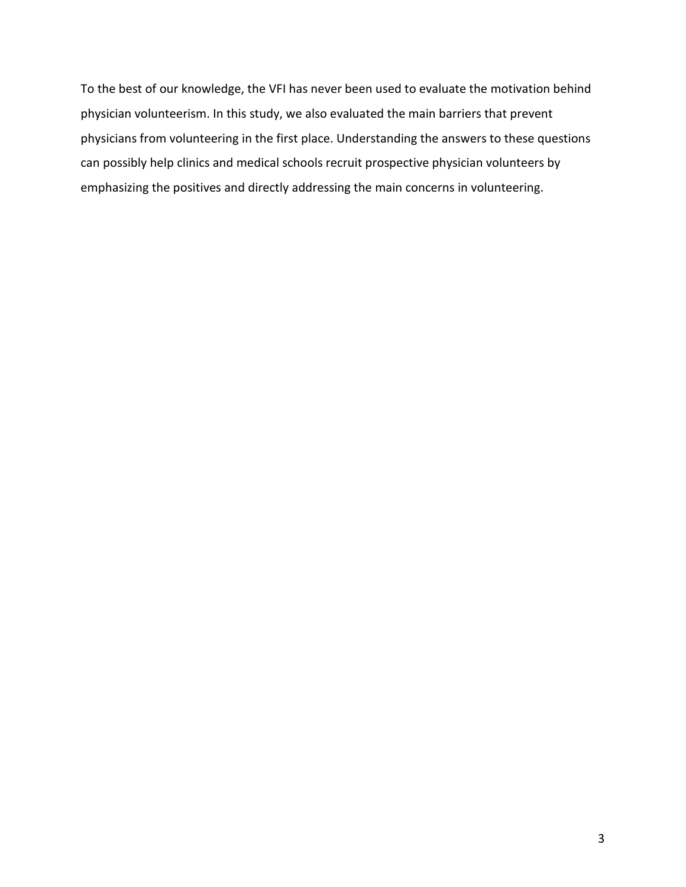To the best of our knowledge, the VFI has never been used to evaluate the motivation behind physician volunteerism. In this study, we also evaluated the main barriers that prevent physicians from volunteering in the first place. Understanding the answers to these questions can possibly help clinics and medical schools recruit prospective physician volunteers by emphasizing the positives and directly addressing the main concerns in volunteering.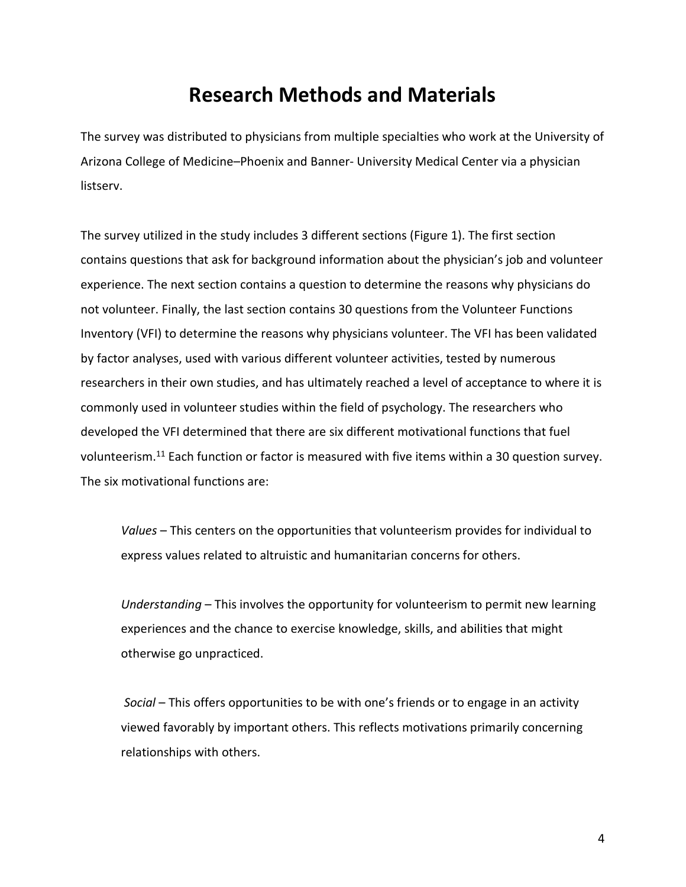### **Research Methods and Materials**

The survey was distributed to physicians from multiple specialties who work at the University of Arizona College of Medicine–Phoenix and Banner- University Medical Center via a physician listserv.

The survey utilized in the study includes 3 different sections (Figure 1). The first section contains questions that ask for background information about the physician's job and volunteer experience. The next section contains a question to determine the reasons why physicians do not volunteer. Finally, the last section contains 30 questions from the Volunteer Functions Inventory (VFI) to determine the reasons why physicians volunteer. The VFI has been validated by factor analyses, used with various different volunteer activities, tested by numerous researchers in their own studies, and has ultimately reached a level of acceptance to where it is commonly used in volunteer studies within the field of psychology. The researchers who developed the VFI determined that there are six different motivational functions that fuel volunteerism.11 Each function or factor is measured with five items within a 30 question survey. The six motivational functions are:

*Values* – This centers on the opportunities that volunteerism provides for individual to express values related to altruistic and humanitarian concerns for others.

*Understanding* – This involves the opportunity for volunteerism to permit new learning experiences and the chance to exercise knowledge, skills, and abilities that might otherwise go unpracticed.

*Social* – This offers opportunities to be with one's friends or to engage in an activity viewed favorably by important others. This reflects motivations primarily concerning relationships with others.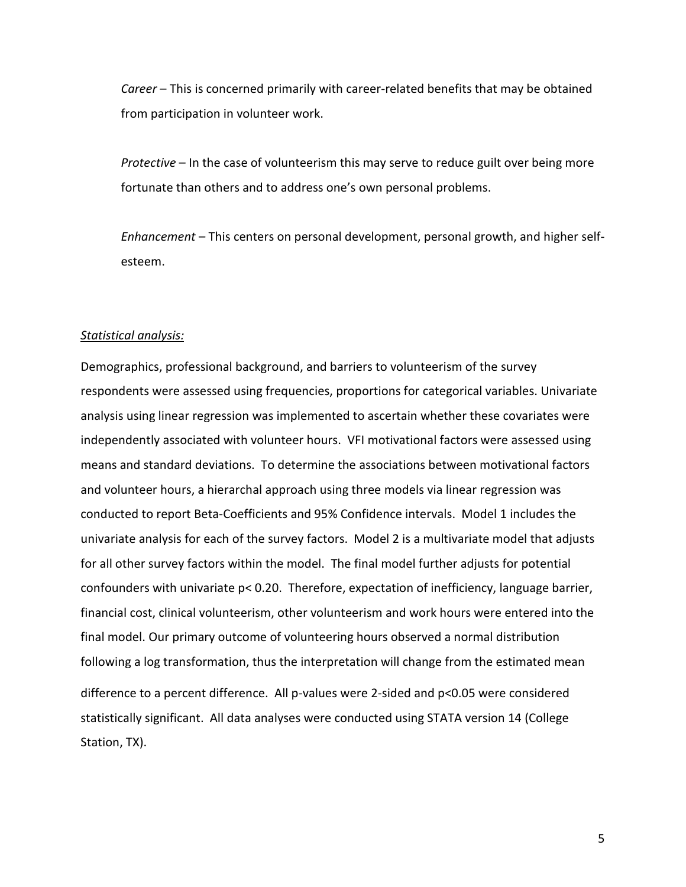*Career* – This is concerned primarily with career-related benefits that may be obtained from participation in volunteer work.

*Protective* – In the case of volunteerism this may serve to reduce guilt over being more fortunate than others and to address one's own personal problems.

*Enhancement* – This centers on personal development, personal growth, and higher selfesteem.

#### *Statistical analysis:*

Demographics, professional background, and barriers to volunteerism of the survey respondents were assessed using frequencies, proportions for categorical variables. Univariate analysis using linear regression was implemented to ascertain whether these covariates were independently associated with volunteer hours. VFI motivational factors were assessed using means and standard deviations. To determine the associations between motivational factors and volunteer hours, a hierarchal approach using three models via linear regression was conducted to report Beta-Coefficients and 95% Confidence intervals. Model 1 includes the univariate analysis for each of the survey factors. Model 2 is a multivariate model that adjusts for all other survey factors within the model. The final model further adjusts for potential confounders with univariate p< 0.20. Therefore, expectation of inefficiency, language barrier, financial cost, clinical volunteerism, other volunteerism and work hours were entered into the final model. Our primary outcome of volunteering hours observed a normal distribution following a log transformation, thus the interpretation will change from the estimated mean difference to a percent difference. All p-values were 2-sided and p<0.05 were considered statistically significant. All data analyses were conducted using STATA version 14 (College Station, TX).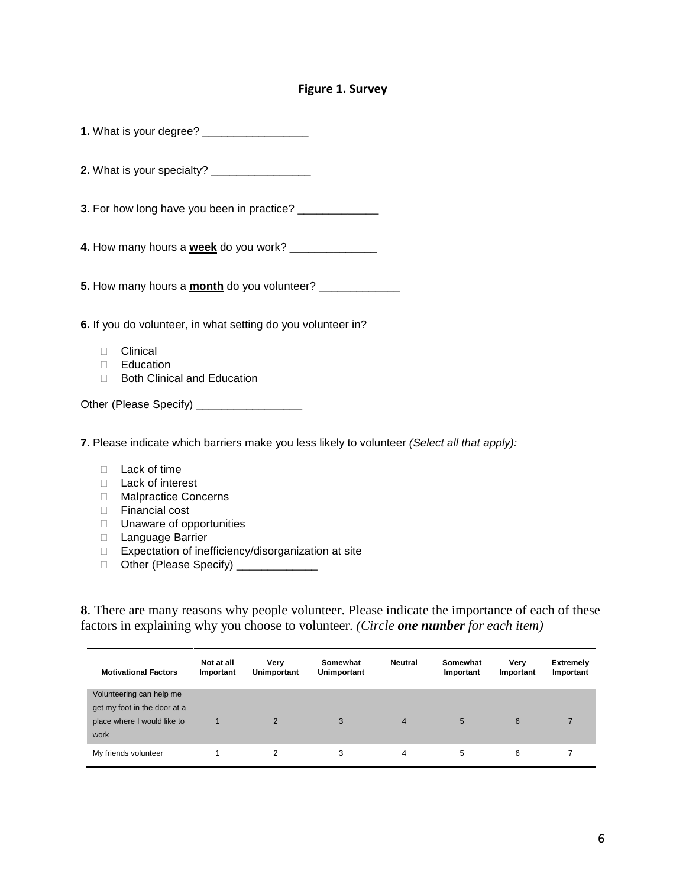#### **Figure 1. Survey**

| 3. For how long have you been in practice? ______________                                                                                                                        |
|----------------------------------------------------------------------------------------------------------------------------------------------------------------------------------|
| 4. How many hours a week do you work? ________________                                                                                                                           |
|                                                                                                                                                                                  |
| 6. If you do volunteer, in what setting do you volunteer in?                                                                                                                     |
| Clinical<br>П.<br><b>Education</b><br><b>Both Clinical and Education</b><br>$\Box$                                                                                               |
| Other (Please Specify) __________________                                                                                                                                        |
| 7. Please indicate which barriers make you less likely to volunteer (Select all that apply):                                                                                     |
| Lack of time<br>П.<br>Lack of interest<br>П.<br><b>Malpractice Concerns</b><br>$\Box$<br>Financial cost<br>$\Box$<br>Unaware of opportunities<br>П<br>Language Barrier<br>$\Box$ |

- □ Expectation of inefficiency/disorganization at site
- Other (Please Specify) \_\_\_\_\_\_\_\_\_\_\_\_

**8**. There are many reasons why people volunteer. Please indicate the importance of each of these factors in explaining why you choose to volunteer. *(Circle one number for each item)*

| <b>Motivational Factors</b>  | Not at all<br>Important | Verv<br>Unimportant | Somewhat<br>Unimportant | Neutral        | Somewhat<br>Important | Very<br>Important | <b>Extremely</b><br>Important |
|------------------------------|-------------------------|---------------------|-------------------------|----------------|-----------------------|-------------------|-------------------------------|
| Volunteering can help me     |                         |                     |                         |                |                       |                   |                               |
| get my foot in the door at a |                         |                     |                         |                |                       |                   |                               |
| place where I would like to  |                         | 2                   | 3                       | $\overline{4}$ | 5                     | 6                 |                               |
| work                         |                         |                     |                         |                |                       |                   |                               |
| My friends volunteer         |                         |                     | 3                       | 4              | 5                     | 6                 |                               |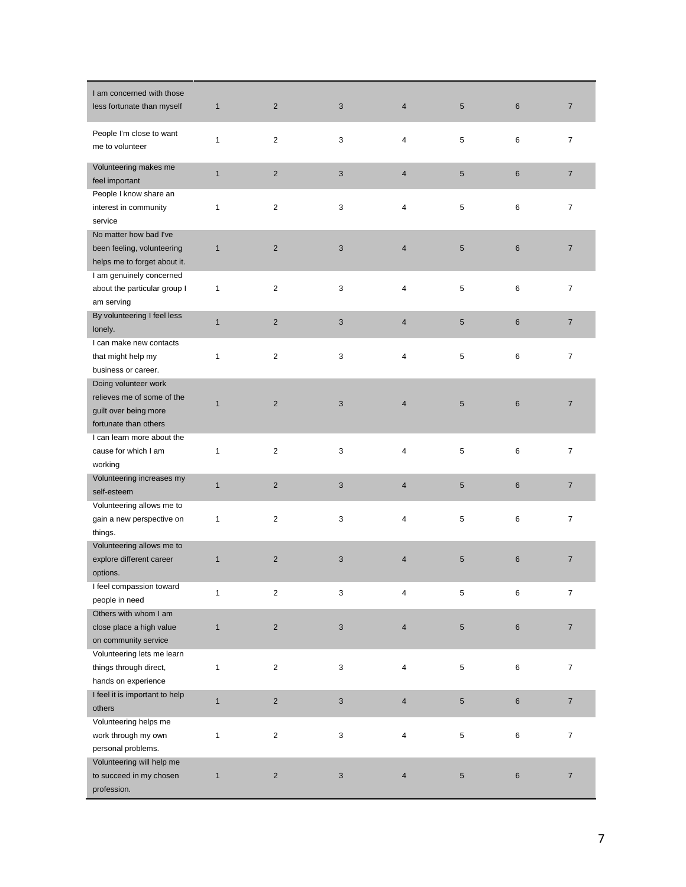| I am concerned with those      |              |                         |                           |                         |            |                |                          |
|--------------------------------|--------------|-------------------------|---------------------------|-------------------------|------------|----------------|--------------------------|
| less fortunate than myself     | $\mathbf{1}$ | $\overline{2}$          | 3                         | $\overline{\mathbf{4}}$ | $\sqrt{5}$ | 6              | $\overline{\mathcal{I}}$ |
|                                |              |                         |                           |                         |            |                |                          |
| People I'm close to want       | 1            | $\overline{2}$          | 3                         | 4                       | 5          | 6              | 7                        |
| me to volunteer                |              |                         |                           |                         |            |                |                          |
| Volunteering makes me          |              |                         |                           |                         |            |                |                          |
| feel important                 | $\mathbf{1}$ | $\overline{2}$          | 3                         | $\overline{\mathbf{4}}$ | $\sqrt{5}$ | 6              | $\overline{7}$           |
|                                |              |                         |                           |                         |            |                |                          |
| People I know share an         |              |                         |                           |                         |            |                |                          |
| interest in community          | 1            | $\overline{c}$          | 3                         | 4                       | 5          | 6              | $\overline{7}$           |
| service                        |              |                         |                           |                         |            |                |                          |
| No matter how bad I've         |              |                         |                           |                         |            |                |                          |
| been feeling, volunteering     | $\mathbf{1}$ | $\overline{2}$          | $\sqrt{3}$                | $\overline{4}$          | $\sqrt{5}$ | $\,6$          | $\overline{7}$           |
| helps me to forget about it.   |              |                         |                           |                         |            |                |                          |
| I am genuinely concerned       |              |                         |                           |                         |            |                |                          |
| about the particular group I   | 1            | $\overline{c}$          | 3                         | 4                       | 5          | 6              | $\overline{7}$           |
| am serving                     |              |                         |                           |                         |            |                |                          |
| By volunteering I feel less    | $\mathbf{1}$ | $\overline{2}$          | 3                         | $\overline{\mathbf{4}}$ | $\sqrt{5}$ | 6              | $\overline{7}$           |
| lonely.                        |              |                         |                           |                         |            |                |                          |
| I can make new contacts        |              |                         |                           |                         |            |                |                          |
| that might help my             | 1            | 2                       | 3                         | 4                       | 5          | 6              | 7                        |
| business or career.            |              |                         |                           |                         |            |                |                          |
| Doing volunteer work           |              |                         |                           |                         |            |                |                          |
| relieves me of some of the     |              |                         |                           |                         |            |                |                          |
| guilt over being more          | $\mathbf{1}$ | $\overline{2}$          | 3                         | $\overline{4}$          | 5          | $6\phantom{1}$ | $\overline{7}$           |
| fortunate than others          |              |                         |                           |                         |            |                |                          |
| I can learn more about the     |              |                         |                           |                         |            |                |                          |
| cause for which I am           | 1            | $\overline{2}$          | 3                         | 4                       | 5          | 6              | 7                        |
| working                        |              |                         |                           |                         |            |                |                          |
| Volunteering increases my      |              |                         |                           |                         |            |                |                          |
|                                | $\mathbf{1}$ | $\overline{c}$          | 3                         | 4                       | $\sqrt{5}$ | 6              | $\overline{7}$           |
| self-esteem                    |              |                         |                           |                         |            |                |                          |
| Volunteering allows me to      |              |                         |                           |                         |            |                |                          |
| gain a new perspective on      | 1            | 2                       | 3                         | 4                       | 5          | 6              | $\overline{7}$           |
| things.                        |              |                         |                           |                         |            |                |                          |
| Volunteering allows me to      |              |                         |                           |                         |            |                |                          |
| explore different career       | $\mathbf{1}$ | $\overline{2}$          | 3                         | 4                       | 5          | $6\phantom{1}$ | $\overline{7}$           |
| options.                       |              |                         |                           |                         |            |                |                          |
| I feel compassion toward       | 1            | $\overline{\mathbf{c}}$ | 3                         | 4                       | 5          | 6              | 7                        |
| people in need                 |              |                         |                           |                         |            |                |                          |
| Others with whom I am          |              |                         |                           |                         |            |                |                          |
| close place a high value       | $\mathbf{1}$ | $\overline{\mathbf{c}}$ | $\ensuremath{\mathsf{3}}$ | 4                       | $\sqrt{5}$ | 6              | $\overline{7}$           |
| on community service           |              |                         |                           |                         |            |                |                          |
| Volunteering lets me learn     |              |                         |                           |                         |            |                |                          |
| things through direct,         | $\mathbf{1}$ | $\boldsymbol{2}$        | 3                         | 4                       | 5          | 6              | $\overline{7}$           |
| hands on experience            |              |                         |                           |                         |            |                |                          |
| I feel it is important to help |              |                         |                           |                         |            |                |                          |
| others                         | $\mathbf{1}$ | $\overline{c}$          | $\mathsf 3$               | 4                       | $\sqrt{5}$ | 6              | $\boldsymbol{7}$         |
| Volunteering helps me          |              |                         |                           |                         |            |                |                          |
| work through my own            | 1            | $\overline{c}$          | 3                         | 4                       | 5          | 6              | $\overline{7}$           |
| personal problems.             |              |                         |                           |                         |            |                |                          |
| Volunteering will help me      |              |                         |                           |                         |            |                |                          |
| to succeed in my chosen        | $\mathbf{1}$ | $\overline{c}$          | $\ensuremath{\mathsf{3}}$ | 4                       | $\sqrt{5}$ | 6              | $\overline{7}$           |
| profession.                    |              |                         |                           |                         |            |                |                          |
|                                |              |                         |                           |                         |            |                |                          |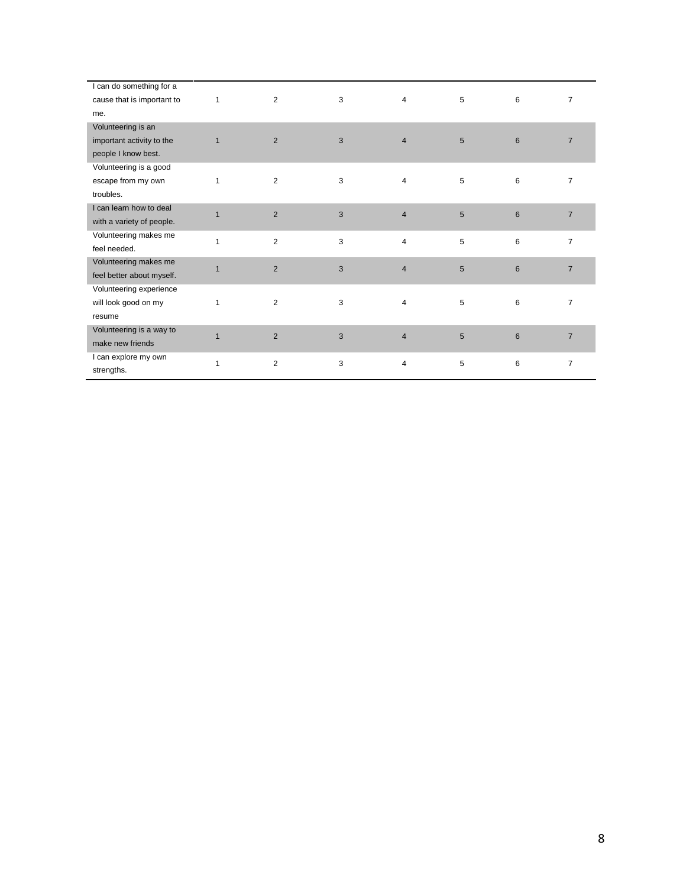| I can do something for a   |                |                |   |                |                 |                 |                |
|----------------------------|----------------|----------------|---|----------------|-----------------|-----------------|----------------|
| cause that is important to | $\mathbf{1}$   | $\overline{2}$ | 3 | 4              | 5               | 6               | $\overline{7}$ |
| me.                        |                |                |   |                |                 |                 |                |
| Volunteering is an         |                |                |   |                |                 |                 |                |
| important activity to the  | $\mathbf{1}$   | $\overline{2}$ | 3 | $\overline{4}$ | $5\phantom{.0}$ | $6\phantom{1}6$ | $\overline{7}$ |
| people I know best.        |                |                |   |                |                 |                 |                |
| Volunteering is a good     |                |                |   |                |                 |                 |                |
| escape from my own         | 1              | $\overline{c}$ | 3 | $\overline{4}$ | 5               | 6               | $\overline{7}$ |
| troubles.                  |                |                |   |                |                 |                 |                |
| I can learn how to deal    | $\overline{1}$ |                | 3 | $\overline{4}$ |                 | $6\phantom{1}6$ | $\overline{7}$ |
| with a variety of people.  |                | $\overline{2}$ |   |                | 5               |                 |                |
| Volunteering makes me      | 1              | $\overline{2}$ | 3 | 4              |                 | 6               | $\overline{7}$ |
| feel needed.               |                |                |   |                | 5               |                 |                |
| Volunteering makes me      | $\mathbf{1}$   | $\overline{2}$ | 3 |                |                 |                 | $\overline{7}$ |
| feel better about myself.  |                |                |   | $\overline{4}$ | 5               | 6               |                |
| Volunteering experience    |                |                |   |                |                 |                 |                |
| will look good on my       | 1              | 2              | 3 | 4              | 5               | 6               | $\overline{7}$ |
| resume                     |                |                |   |                |                 |                 |                |
| Volunteering is a way to   | $\overline{1}$ | $\overline{2}$ | 3 | $\overline{4}$ | 5               | $6\phantom{1}6$ |                |
| make new friends           |                |                |   |                |                 |                 | $\overline{7}$ |
| I can explore my own       |                |                |   |                |                 |                 |                |
| strengths.                 | 1              | $\overline{2}$ | 3 | 4              | 5               | 6               | 7              |
|                            |                |                |   |                |                 |                 |                |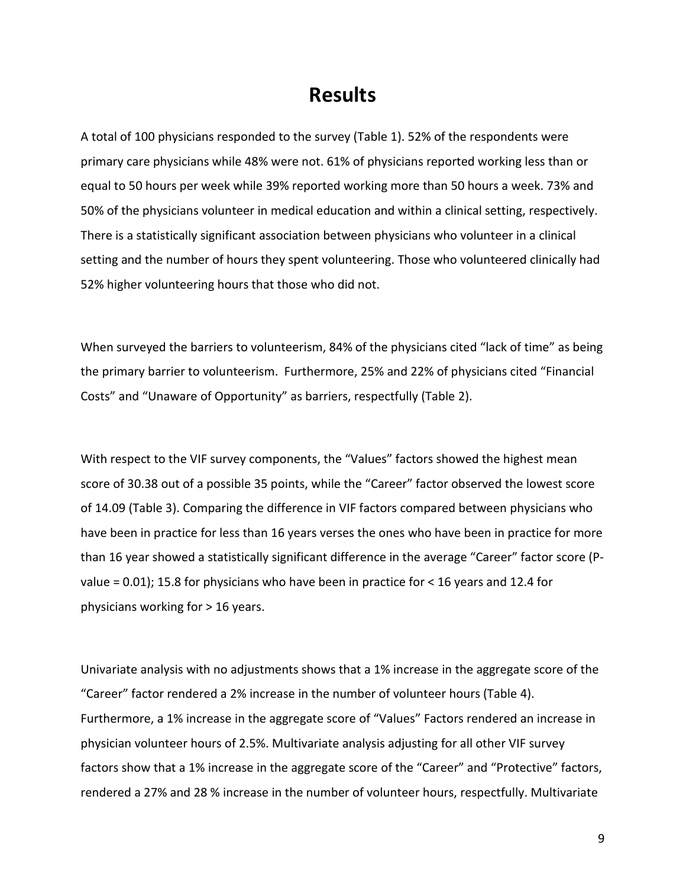### **Results**

A total of 100 physicians responded to the survey (Table 1). 52% of the respondents were primary care physicians while 48% were not. 61% of physicians reported working less than or equal to 50 hours per week while 39% reported working more than 50 hours a week. 73% and 50% of the physicians volunteer in medical education and within a clinical setting, respectively. There is a statistically significant association between physicians who volunteer in a clinical setting and the number of hours they spent volunteering. Those who volunteered clinically had 52% higher volunteering hours that those who did not.

When surveyed the barriers to volunteerism, 84% of the physicians cited "lack of time" as being the primary barrier to volunteerism. Furthermore, 25% and 22% of physicians cited "Financial Costs" and "Unaware of Opportunity" as barriers, respectfully (Table 2).

With respect to the VIF survey components, the "Values" factors showed the highest mean score of 30.38 out of a possible 35 points, while the "Career" factor observed the lowest score of 14.09 (Table 3). Comparing the difference in VIF factors compared between physicians who have been in practice for less than 16 years verses the ones who have been in practice for more than 16 year showed a statistically significant difference in the average "Career" factor score (Pvalue = 0.01); 15.8 for physicians who have been in practice for < 16 years and 12.4 for physicians working for > 16 years.

Univariate analysis with no adjustments shows that a 1% increase in the aggregate score of the "Career" factor rendered a 2% increase in the number of volunteer hours (Table 4). Furthermore, a 1% increase in the aggregate score of "Values" Factors rendered an increase in physician volunteer hours of 2.5%. Multivariate analysis adjusting for all other VIF survey factors show that a 1% increase in the aggregate score of the "Career" and "Protective" factors, rendered a 27% and 28 % increase in the number of volunteer hours, respectfully. Multivariate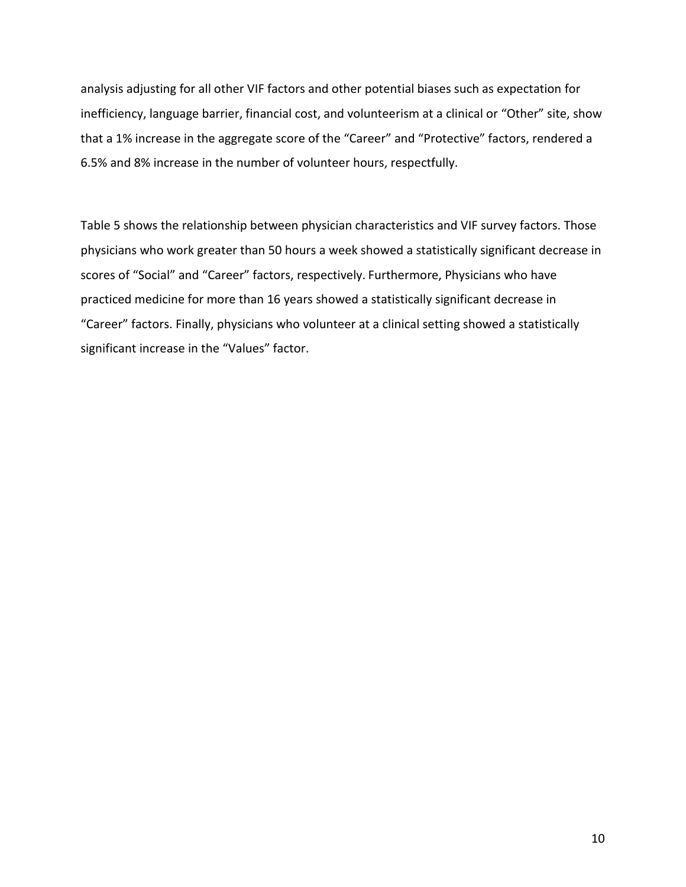analysis adjusting for all other VIF factors and other potential biases such as expectation for inefficiency, language barrier, financial cost, and volunteerism at a clinical or "Other" site, show that a 1% increase in the aggregate score of the "Career" and "Protective" factors, rendered a 6.5% and 8% increase in the number of volunteer hours, respectfully.

Table 5 shows the relationship between physician characteristics and VIF survey factors. Those physicians who work greater than 50 hours a week showed a statistically significant decrease in scores of "Social" and "Career" factors, respectively. Furthermore, Physicians who have practiced medicine for more than 16 years showed a statistically significant decrease in "Career" factors. Finally, physicians who volunteer at a clinical setting showed a statistically significant increase in the "Values" factor.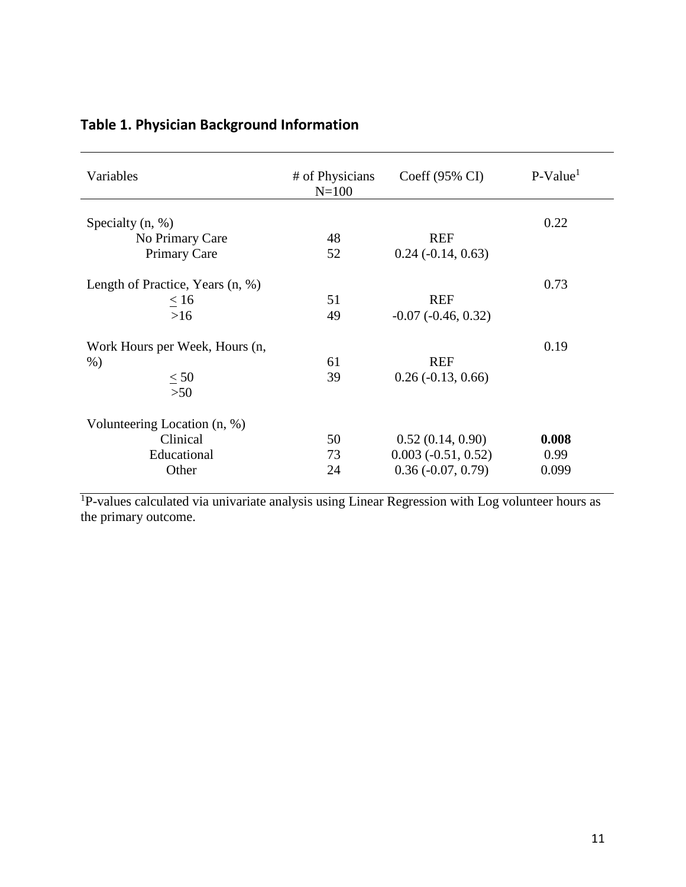| Variables                                                        | # of Physicians<br>$N = 100$ | Coeff $(95\% \text{ CI})$                                       | $P-Value1$             |
|------------------------------------------------------------------|------------------------------|-----------------------------------------------------------------|------------------------|
| Specialty $(n, %)$<br>No Primary Care<br><b>Primary Care</b>     | 48<br>52                     | <b>REF</b><br>$0.24$ ( $-0.14$ , $0.63$ )                       | 0.22                   |
| Length of Practice, Years (n, %)<br>< 16<br>$>16$                | 51<br>49                     | <b>REF</b><br>$-0.07$ $(-0.46, 0.32)$                           | 0.73                   |
| Work Hours per Week, Hours (n,<br>$%$ )<br>< 50<br>$>50$         | 61<br>39                     | <b>REF</b><br>$0.26$ ( $-0.13$ , $0.66$ )                       | 0.19                   |
| Volunteering Location (n, %)<br>Clinical<br>Educational<br>Other | 50<br>73<br>24               | 0.52(0.14, 0.90)<br>$0.003(-0.51, 0.52)$<br>$0.36(-0.07, 0.79)$ | 0.008<br>0.99<br>0.099 |

### **Table 1. Physician Background Information**

<sup>1</sup>P-values calculated via univariate analysis using Linear Regression with Log volunteer hours as the primary outcome.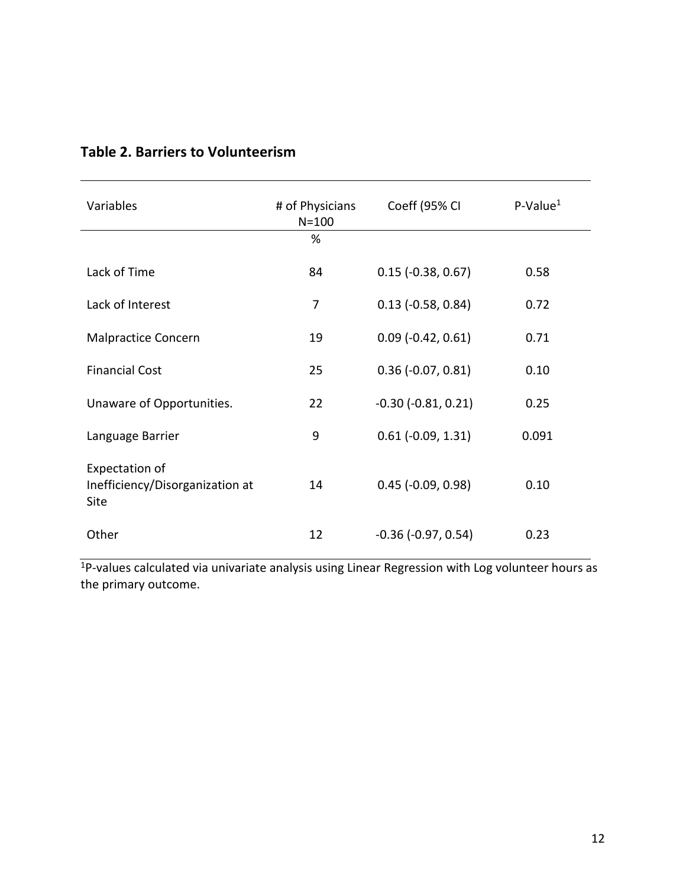| Variables                                                 | # of Physicians<br>$N = 100$ | Coeff (95% CI               | $P-Value1$ |
|-----------------------------------------------------------|------------------------------|-----------------------------|------------|
|                                                           | %                            |                             |            |
| Lack of Time                                              | 84                           | $0.15$ ( $-0.38$ , $0.67$ ) | 0.58       |
| Lack of Interest                                          | 7                            | $0.13$ (-0.58, 0.84)        | 0.72       |
| <b>Malpractice Concern</b>                                | 19                           | $0.09$ (-0.42, 0.61)        | 0.71       |
| <b>Financial Cost</b>                                     | 25                           | $0.36$ (-0.07, 0.81)        | 0.10       |
| Unaware of Opportunities.                                 | 22                           | $-0.30$ $(-0.81, 0.21)$     | 0.25       |
| Language Barrier                                          | 9                            | $0.61$ ( $-0.09$ , $1.31$ ) | 0.091      |
| Expectation of<br>Inefficiency/Disorganization at<br>Site | 14                           | $0.45$ (-0.09, 0.98)        | 0.10       |
| Other                                                     | 12                           | $-0.36$ $(-0.97, 0.54)$     | 0.23       |

### **Table 2. Barriers to Volunteerism**

<sup>1</sup>P-values calculated via univariate analysis using Linear Regression with Log volunteer hours as the primary outcome.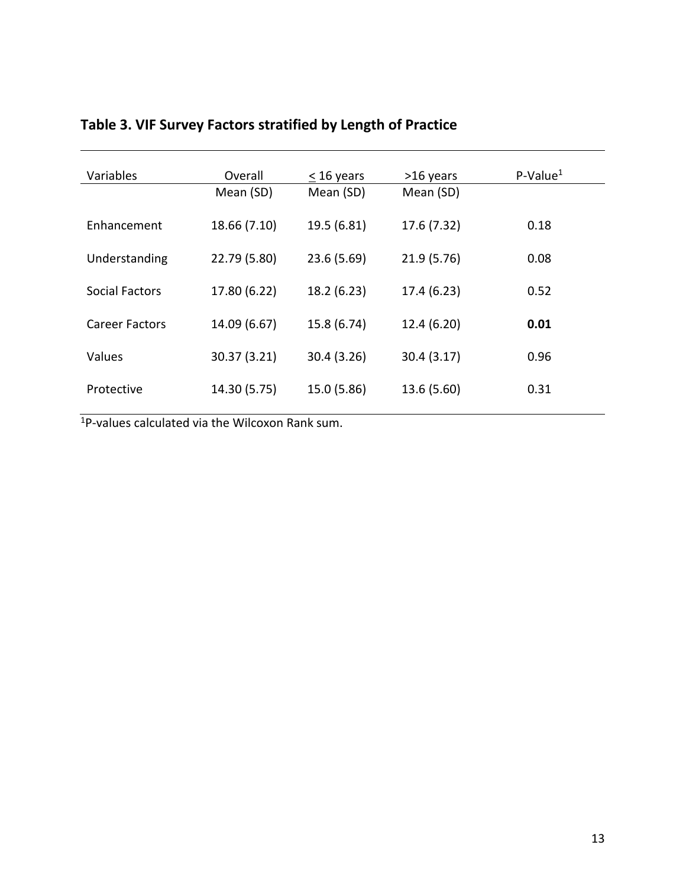| Variables      | Overall      | $<$ 16 years | >16 years   | $P-Value1$ |
|----------------|--------------|--------------|-------------|------------|
|                | Mean (SD)    | Mean (SD)    | Mean (SD)   |            |
| Enhancement    | 18.66 (7.10) | 19.5 (6.81)  | 17.6 (7.32) | 0.18       |
| Understanding  | 22.79 (5.80) | 23.6 (5.69)  | 21.9 (5.76) | 0.08       |
| Social Factors | 17.80 (6.22) | 18.2 (6.23)  | 17.4 (6.23) | 0.52       |
| Career Factors | 14.09 (6.67) | 15.8 (6.74)  | 12.4 (6.20) | 0.01       |
| Values         | 30.37 (3.21) | 30.4 (3.26)  | 30.4 (3.17) | 0.96       |
| Protective     | 14.30 (5.75) | 15.0 (5.86)  | 13.6 (5.60) | 0.31       |

### **Table 3. VIF Survey Factors stratified by Length of Practice**

1P-values calculated via the Wilcoxon Rank sum.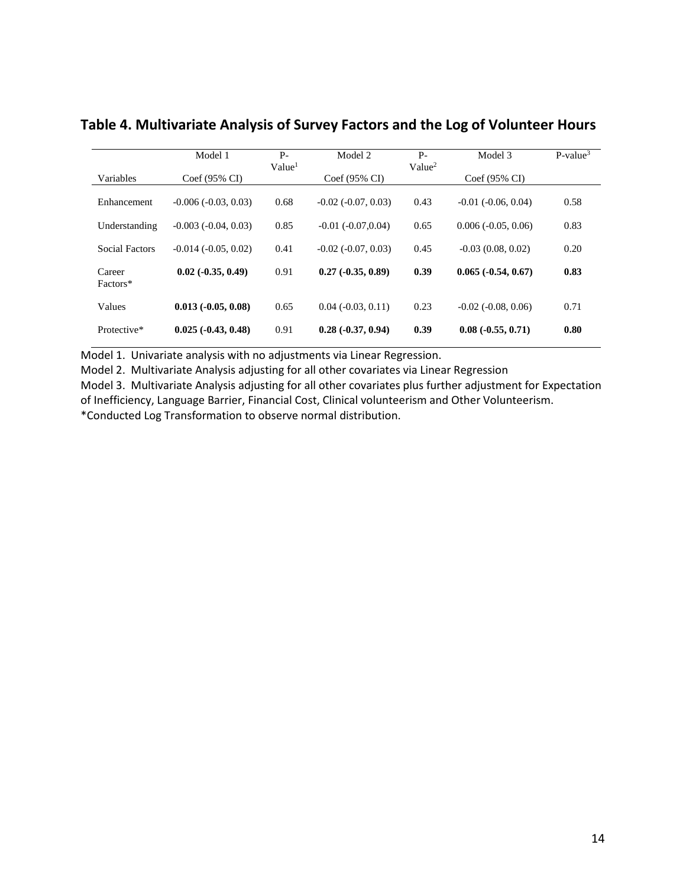|                    | Model 1                     | $P -$<br>Value <sup>1</sup> | Model 2                 | $P-$<br>Value <sup>2</sup> | Model 3                 | $P-value3$ |
|--------------------|-----------------------------|-----------------------------|-------------------------|----------------------------|-------------------------|------------|
| Variables          | $Coef(95\% CI)$             |                             | $Coef(95\% CI)$         |                            | $Coef(95\% CI)$         |            |
| Enhancement        | $-0.006(-0.03, 0.03)$       | 0.68                        | $-0.02$ $(-0.07, 0.03)$ | 0.43                       | $-0.01$ $(-0.06, 0.04)$ | 0.58       |
| Understanding      | $-0.003$ $(-0.04, 0.03)$    | 0.85                        | $-0.01$ $(-0.07, 0.04)$ | 0.65                       | $0.006(-0.05, 0.06)$    | 0.83       |
| Social Factors     | $-0.014(-0.05, 0.02)$       | 0.41                        | $-0.02$ $(-0.07, 0.03)$ | 0.45                       | $-0.03(0.08, 0.02)$     | 0.20       |
| Career<br>Factors* | $0.02$ ( $-0.35$ , $0.49$ ) | 0.91                        | $0.27(-0.35, 0.89)$     | 0.39                       | $0.065(-0.54, 0.67)$    | 0.83       |
| Values             | $0.013(-0.05, 0.08)$        | 0.65                        | $0.04$ $(-0.03, 0.11)$  | 0.23                       | $-0.02$ $(-0.08, 0.06)$ | 0.71       |
| Protective*        | $0.025(-0.43, 0.48)$        | 0.91                        | $0.28(-0.37, 0.94)$     | 0.39                       | $0.08(-0.55, 0.71)$     | 0.80       |

#### **Table 4. Multivariate Analysis of Survey Factors and the Log of Volunteer Hours**

Model 1. Univariate analysis with no adjustments via Linear Regression.

Model 2. Multivariate Analysis adjusting for all other covariates via Linear Regression

Model 3. Multivariate Analysis adjusting for all other covariates plus further adjustment for Expectation of Inefficiency, Language Barrier, Financial Cost, Clinical volunteerism and Other Volunteerism. \*Conducted Log Transformation to observe normal distribution.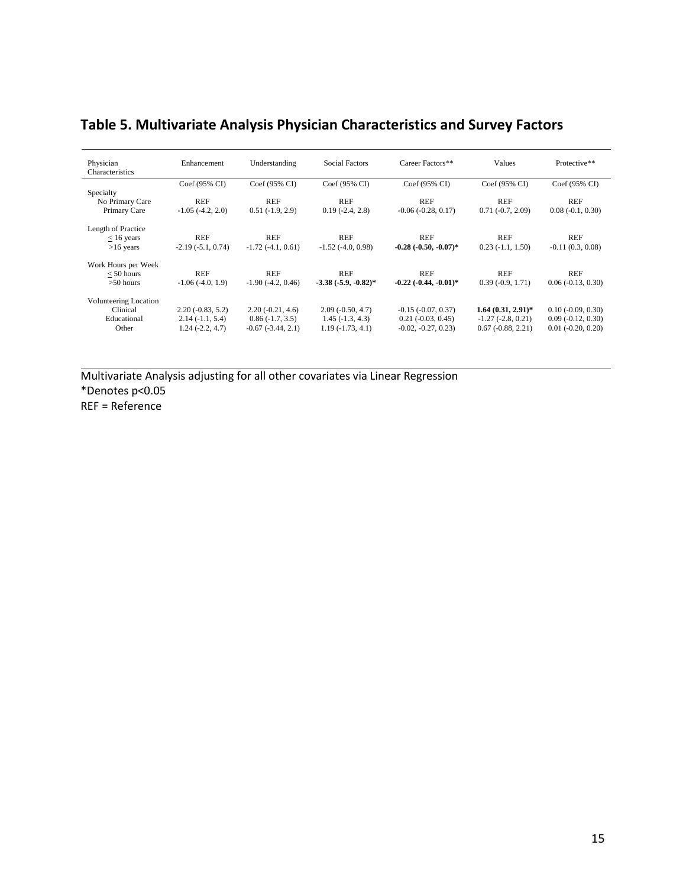### **Table 5. Multivariate Analysis Physician Characteristics and Survey Factors**

| Physician<br>Characteristics | Enhancement           | Understanding          | <b>Social Factors</b>  | Career Factors**            | Values               | Protective**                |
|------------------------------|-----------------------|------------------------|------------------------|-----------------------------|----------------------|-----------------------------|
|                              | Coef (95% CI)         | Coef (95% CI)          | Coef (95% CI)          | $Coef(95\% CI)$             | Coef (95% CI)        | Coef (95% CI)               |
| Specialty                    |                       |                        |                        |                             |                      |                             |
| No Primary Care              | <b>REF</b>            | <b>REF</b>             | <b>REF</b>             | REF                         | <b>REF</b>           | <b>REF</b>                  |
| Primary Care                 | $-1.05$ $(-4.2, 2.0)$ | $0.51(-1.9, 2.9)$      | $0.19(-2.4, 2.8)$      | $-0.06$ $(-0.28, 0.17)$     | $0.71(-0.7, 2.09)$   | $0.08(-0.1, 0.30)$          |
|                              |                       |                        |                        |                             |                      |                             |
| Length of Practice           |                       |                        |                        |                             |                      |                             |
| $< 16$ years                 | <b>REF</b>            | <b>REF</b>             | <b>REF</b>             | <b>REF</b>                  | <b>REF</b>           | <b>REF</b>                  |
| $>16$ years                  | $-2.19(-5.1, 0.74)$   | $-1.72(-4.1, 0.61)$    | $-1.52$ $(-4.0, 0.98)$ | $-0.28$ $(-0.50, -0.07)^*$  | $0.23(-1.1, 1.50)$   | $-0.11(0.3, 0.08)$          |
|                              |                       |                        |                        |                             |                      |                             |
| Work Hours per Week          |                       |                        |                        |                             |                      |                             |
| $< 50$ hours                 | <b>REF</b>            | <b>REF</b>             | <b>REF</b>             | <b>REF</b>                  | <b>REF</b>           | <b>REF</b>                  |
| $>50$ hours                  | $-1.06(-4.0, 1.9)$    | $-1.90(-4.2, 0.46)$    | $-3.38(-5.9, -0.82)^*$ | $-0.22$ $(-0.44, -0.01)^*$  | $0.39(-0.9, 1.71)$   | $0.06(-0.13, 0.30)$         |
| <b>Volunteering Location</b> |                       |                        |                        |                             |                      |                             |
| Clinical                     | $2.20(-0.83, 5.2)$    | $2.20(-0.21, 4.6)$     | $2.09(-0.50, 4.7)$     | $-0.15$ $(-0.07, 0.37)$     | $1.64(0.31, 2.91)^*$ | $0.10$ ( $-0.09$ , $0.30$ ) |
|                              |                       |                        |                        |                             |                      |                             |
| Educational                  | $2.14(-1.1, 5.4)$     | $0.86(-1.7, 3.5)$      | $1.45(-1.3, 4.3)$      | $0.21$ ( $-0.03$ , $0.45$ ) | $-1.27(-2.8, 0.21)$  | $0.09(-0.12, 0.30)$         |
| Other                        | $1.24(-2.2, 4.7)$     | $-0.67$ $(-3.44, 2.1)$ | $1.19(-1.73, 4.1)$     | $-0.02, -0.27, 0.23$        | $0.67(-0.88, 2.21)$  | $0.01$ $(-0.20, 0.20)$      |

Multivariate Analysis adjusting for all other covariates via Linear Regression \*Denotes p<0.05 REF = Reference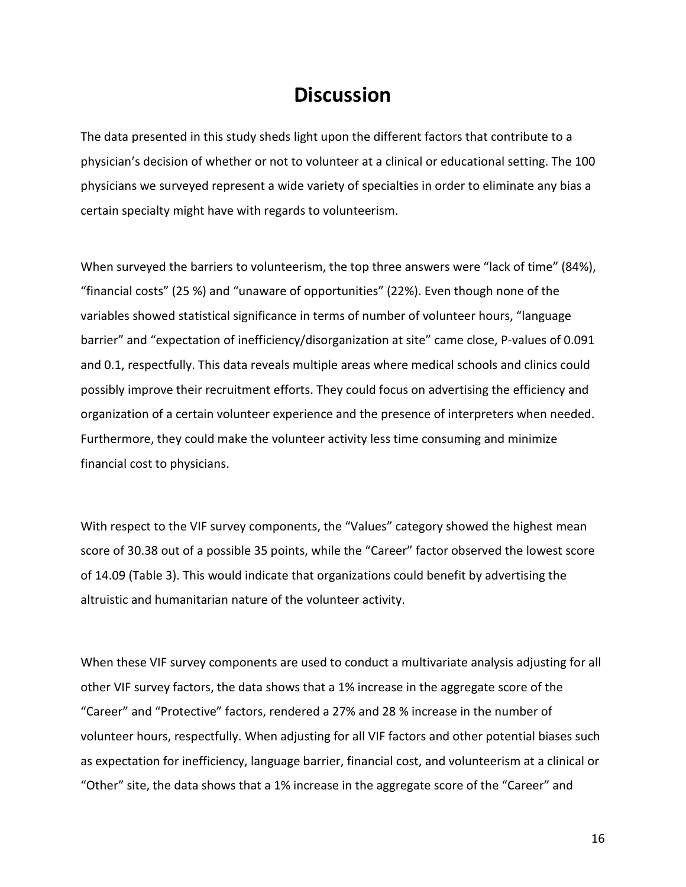### **Discussion**

The data presented in this study sheds light upon the different factors that contribute to a physician's decision of whether or not to volunteer at a clinical or educational setting. The 100 physicians we surveyed represent a wide variety of specialties in order to eliminate any bias a certain specialty might have with regards to volunteerism.

When surveyed the barriers to volunteerism, the top three answers were "lack of time" (84%), "financial costs" (25 %) and "unaware of opportunities" (22%). Even though none of the variables showed statistical significance in terms of number of volunteer hours, "language barrier" and "expectation of inefficiency/disorganization at site" came close, P-values of 0.091 and 0.1, respectfully. This data reveals multiple areas where medical schools and clinics could possibly improve their recruitment efforts. They could focus on advertising the efficiency and organization of a certain volunteer experience and the presence of interpreters when needed. Furthermore, they could make the volunteer activity less time consuming and minimize financial cost to physicians.

With respect to the VIF survey components, the "Values" category showed the highest mean score of 30.38 out of a possible 35 points, while the "Career" factor observed the lowest score of 14.09 (Table 3). This would indicate that organizations could benefit by advertising the altruistic and humanitarian nature of the volunteer activity.

When these VIF survey components are used to conduct a multivariate analysis adjusting for all other VIF survey factors, the data shows that a 1% increase in the aggregate score of the "Career" and "Protective" factors, rendered a 27% and 28 % increase in the number of volunteer hours, respectfully. When adjusting for all VIF factors and other potential biases such as expectation for inefficiency, language barrier, financial cost, and volunteerism at a clinical or "Other" site, the data shows that a 1% increase in the aggregate score of the "Career" and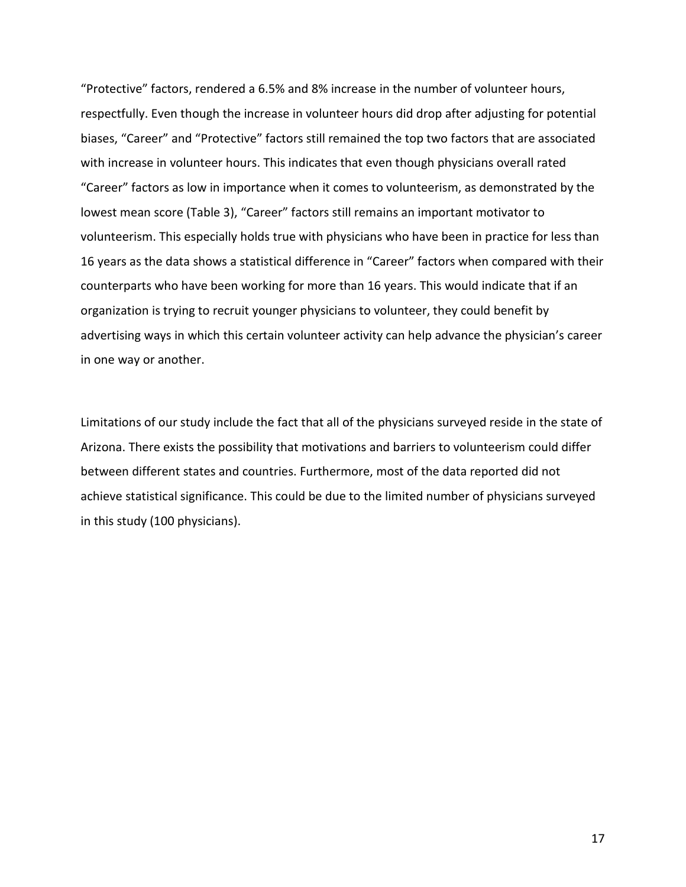"Protective" factors, rendered a 6.5% and 8% increase in the number of volunteer hours, respectfully. Even though the increase in volunteer hours did drop after adjusting for potential biases, "Career" and "Protective" factors still remained the top two factors that are associated with increase in volunteer hours. This indicates that even though physicians overall rated "Career" factors as low in importance when it comes to volunteerism, as demonstrated by the lowest mean score (Table 3), "Career" factors still remains an important motivator to volunteerism. This especially holds true with physicians who have been in practice for less than 16 years as the data shows a statistical difference in "Career" factors when compared with their counterparts who have been working for more than 16 years. This would indicate that if an organization is trying to recruit younger physicians to volunteer, they could benefit by advertising ways in which this certain volunteer activity can help advance the physician's career in one way or another.

Limitations of our study include the fact that all of the physicians surveyed reside in the state of Arizona. There exists the possibility that motivations and barriers to volunteerism could differ between different states and countries. Furthermore, most of the data reported did not achieve statistical significance. This could be due to the limited number of physicians surveyed in this study (100 physicians).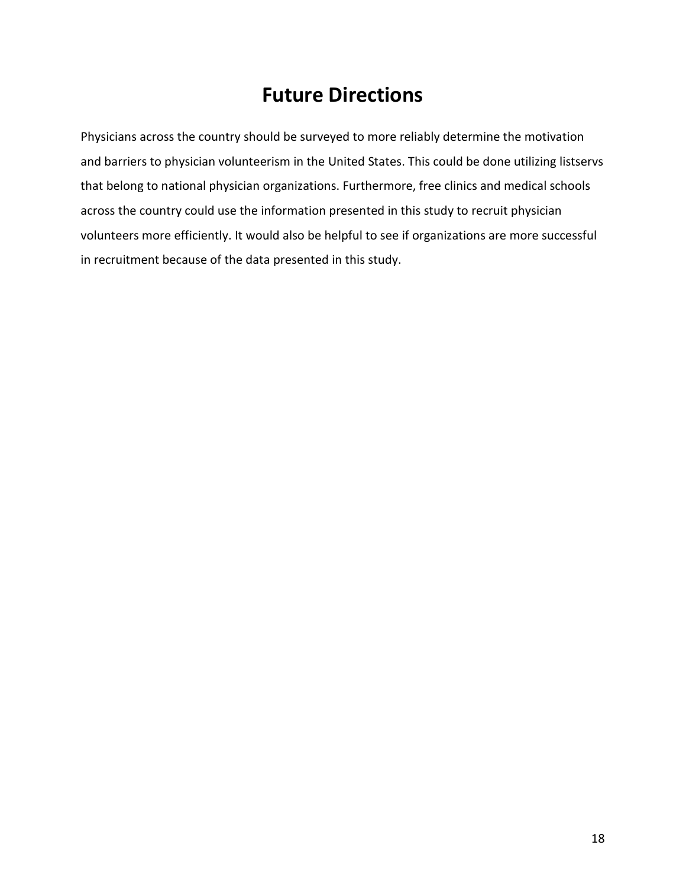## **Future Directions**

Physicians across the country should be surveyed to more reliably determine the motivation and barriers to physician volunteerism in the United States. This could be done utilizing listservs that belong to national physician organizations. Furthermore, free clinics and medical schools across the country could use the information presented in this study to recruit physician volunteers more efficiently. It would also be helpful to see if organizations are more successful in recruitment because of the data presented in this study.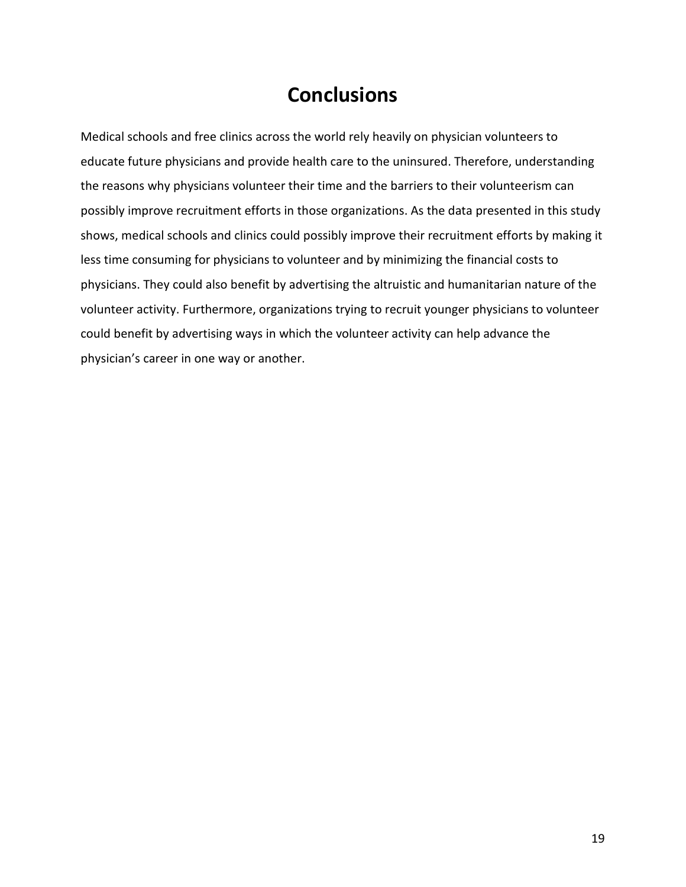## **Conclusions**

Medical schools and free clinics across the world rely heavily on physician volunteers to educate future physicians and provide health care to the uninsured. Therefore, understanding the reasons why physicians volunteer their time and the barriers to their volunteerism can possibly improve recruitment efforts in those organizations. As the data presented in this study shows, medical schools and clinics could possibly improve their recruitment efforts by making it less time consuming for physicians to volunteer and by minimizing the financial costs to physicians. They could also benefit by advertising the altruistic and humanitarian nature of the volunteer activity. Furthermore, organizations trying to recruit younger physicians to volunteer could benefit by advertising ways in which the volunteer activity can help advance the physician's career in one way or another.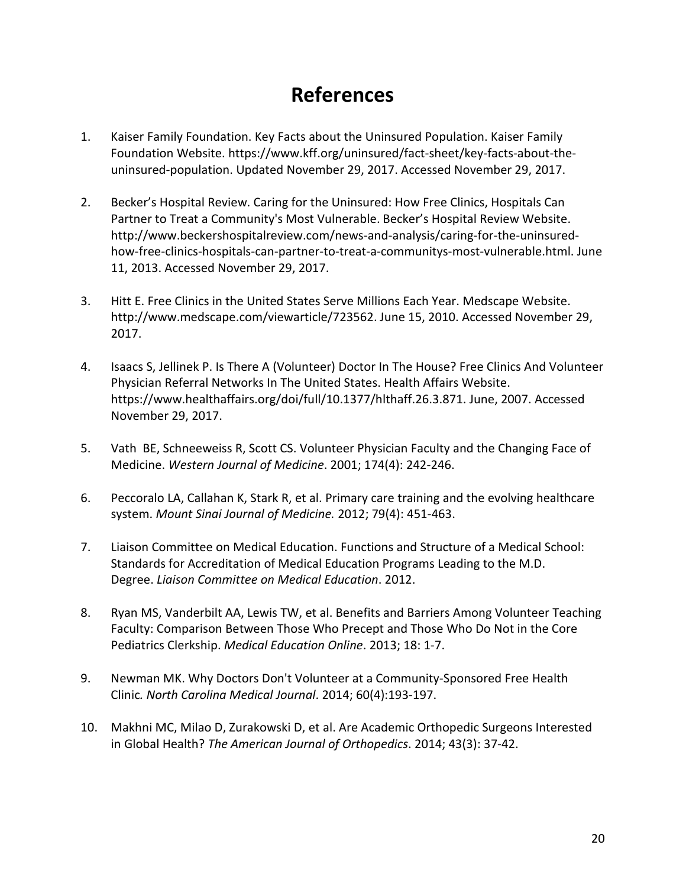## **References**

- 1. Kaiser Family Foundation. Key Facts about the Uninsured Population. Kaiser Family Foundation Website. https://www.kff.org/uninsured/fact-sheet/key-facts-about-theuninsured-population. Updated November 29, 2017. Accessed November 29, 2017.
- 2. Becker's Hospital Review. Caring for the Uninsured: How Free Clinics, Hospitals Can Partner to Treat a Community's Most Vulnerable. Becker's Hospital Review Website. http://www.beckershospitalreview.com/news-and-analysis/caring-for-the-uninsuredhow-free-clinics-hospitals-can-partner-to-treat-a-communitys-most-vulnerable.html. June 11, 2013. Accessed November 29, 2017.
- 3. Hitt E. Free Clinics in the United States Serve Millions Each Year. Medscape Website. http://www.medscape.com/viewarticle/723562. June 15, 2010. Accessed November 29, 2017.
- 4. Isaacs S, Jellinek P. Is There A (Volunteer) Doctor In The House? Free Clinics And Volunteer Physician Referral Networks In The United States. Health Affairs Website. https://www.healthaffairs.org/doi/full/10.1377/hlthaff.26.3.871. June, 2007. Accessed November 29, 2017.
- 5. Vath BE, Schneeweiss R, Scott CS. Volunteer Physician Faculty and the Changing Face of Medicine. *Western Journal of Medicine*. 2001; 174(4): 242-246.
- 6. Peccoralo LA, Callahan K, Stark R, et al. Primary care training and the evolving healthcare system. *Mount Sinai Journal of Medicine.* 2012; 79(4): 451-463.
- 7. Liaison Committee on Medical Education. Functions and Structure of a Medical School: Standards for Accreditation of Medical Education Programs Leading to the M.D. Degree. *Liaison Committee on Medical Education*. 2012.
- 8. Ryan MS, Vanderbilt AA, Lewis TW, et al. Benefits and Barriers Among Volunteer Teaching Faculty: Comparison Between Those Who Precept and Those Who Do Not in the Core Pediatrics Clerkship. *Medical Education Online*. 2013; 18: 1-7.
- 9. Newman MK. Why Doctors Don't Volunteer at a Community-Sponsored Free Health Clinic*. North Carolina Medical Journal*. 2014; 60(4):193-197.
- 10. Makhni MC, Milao D, Zurakowski D, et al. Are Academic Orthopedic Surgeons Interested in Global Health? *The American Journal of Orthopedics*. 2014; 43(3): 37-42.